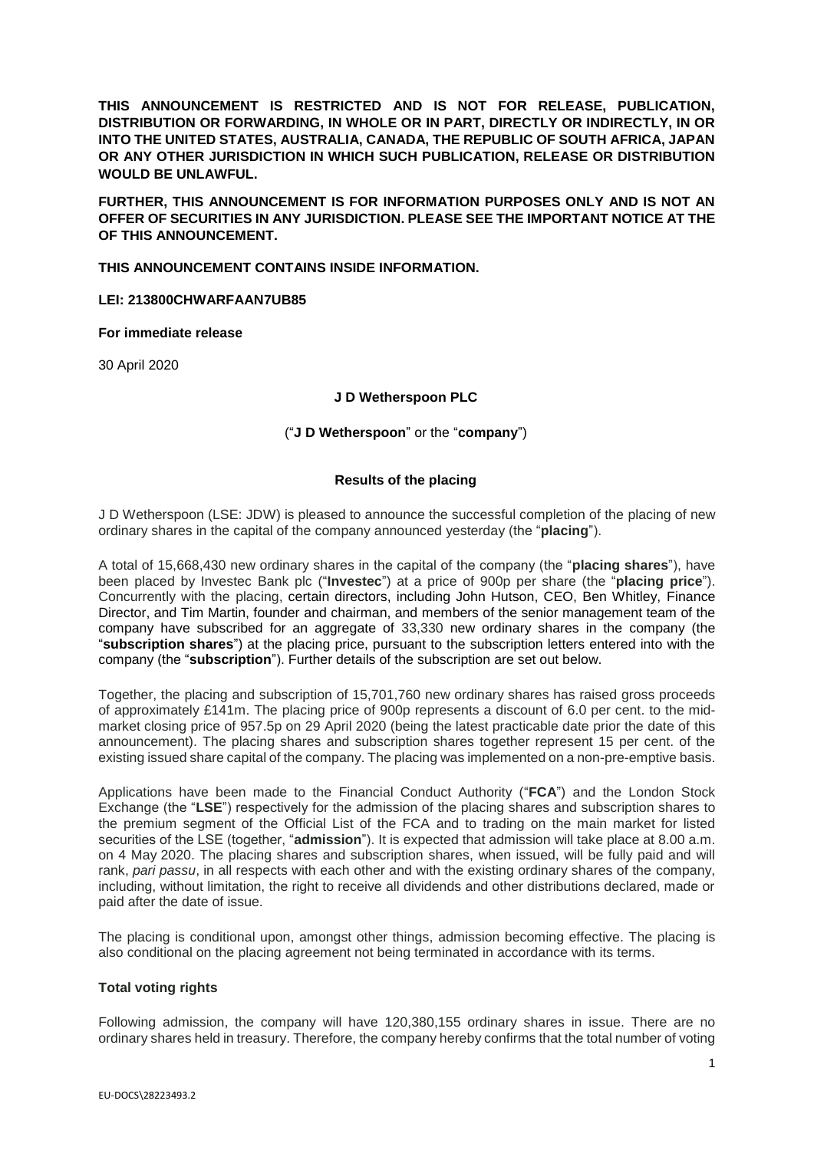**THIS ANNOUNCEMENT IS RESTRICTED AND IS NOT FOR RELEASE, PUBLICATION, DISTRIBUTION OR FORWARDING, IN WHOLE OR IN PART, DIRECTLY OR INDIRECTLY, IN OR INTO THE UNITED STATES, AUSTRALIA, CANADA, THE REPUBLIC OF SOUTH AFRICA, JAPAN OR ANY OTHER JURISDICTION IN WHICH SUCH PUBLICATION, RELEASE OR DISTRIBUTION WOULD BE UNLAWFUL.**

**FURTHER, THIS ANNOUNCEMENT IS FOR INFORMATION PURPOSES ONLY AND IS NOT AN OFFER OF SECURITIES IN ANY JURISDICTION. PLEASE SEE THE IMPORTANT NOTICE AT THE OF THIS ANNOUNCEMENT.**

**THIS ANNOUNCEMENT CONTAINS INSIDE INFORMATION.**

**LEI: 213800CHWARFAAN7UB85**

**For immediate release**

30 April 2020

## **J D Wetherspoon PLC**

## ("**J D Wetherspoon**" or the "**company**")

## **Results of the placing**

J D Wetherspoon (LSE: JDW) is pleased to announce the successful completion of the placing of new ordinary shares in the capital of the company announced yesterday (the "**placing**").

A total of 15,668,430 new ordinary shares in the capital of the company (the "**placing shares**"), have been placed by Investec Bank plc ("**Investec**") at a price of 900p per share (the "**placing price**"). Concurrently with the placing, certain directors, including John Hutson, CEO, Ben Whitley, Finance Director, and Tim Martin, founder and chairman, and members of the senior management team of the company have subscribed for an aggregate of 33,330 new ordinary shares in the company (the "**subscription shares**") at the placing price, pursuant to the subscription letters entered into with the company (the "**subscription**"). Further details of the subscription are set out below.

Together, the placing and subscription of 15,701,760 new ordinary shares has raised gross proceeds of approximately £141m. The placing price of 900p represents a discount of 6.0 per cent. to the midmarket closing price of 957.5p on 29 April 2020 (being the latest practicable date prior the date of this announcement). The placing shares and subscription shares together represent 15 per cent. of the existing issued share capital of the company. The placing was implemented on a non-pre-emptive basis.

Applications have been made to the Financial Conduct Authority ("**FCA**") and the London Stock Exchange (the "**LSE**") respectively for the admission of the placing shares and subscription shares to the premium segment of the Official List of the FCA and to trading on the main market for listed securities of the LSE (together, "**admission**"). It is expected that admission will take place at 8.00 a.m. on 4 May 2020. The placing shares and subscription shares, when issued, will be fully paid and will rank, *pari passu*, in all respects with each other and with the existing ordinary shares of the company, including, without limitation, the right to receive all dividends and other distributions declared, made or paid after the date of issue.

The placing is conditional upon, amongst other things, admission becoming effective. The placing is also conditional on the placing agreement not being terminated in accordance with its terms.

### **Total voting rights**

Following admission, the company will have 120,380,155 ordinary shares in issue. There are no ordinary shares held in treasury. Therefore, the company hereby confirms that the total number of voting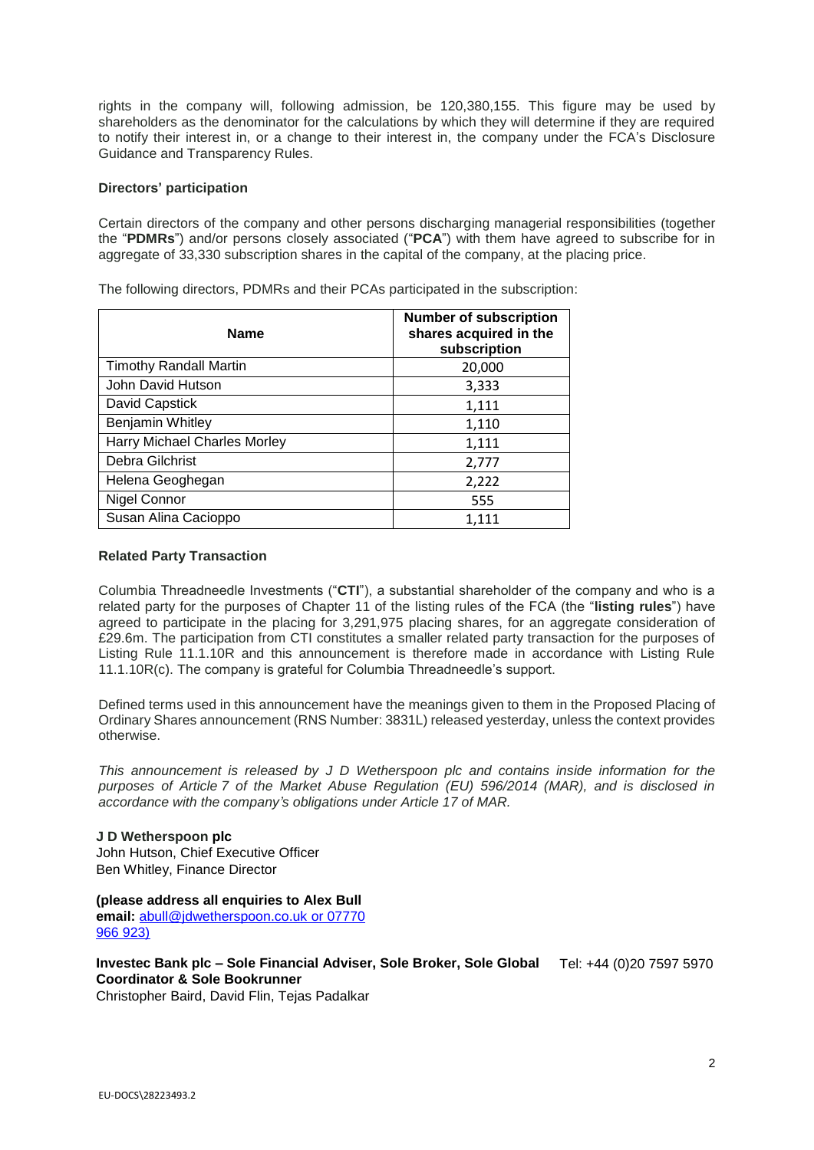rights in the company will, following admission, be 120,380,155. This figure may be used by shareholders as the denominator for the calculations by which they will determine if they are required to notify their interest in, or a change to their interest in, the company under the FCA's Disclosure Guidance and Transparency Rules.

## **Directors' participation**

Certain directors of the company and other persons discharging managerial responsibilities (together the "**PDMRs**") and/or persons closely associated ("**PCA**") with them have agreed to subscribe for in aggregate of 33,330 subscription shares in the capital of the company, at the placing price.

| <b>Name</b>                   | <b>Number of subscription</b><br>shares acquired in the<br>subscription |
|-------------------------------|-------------------------------------------------------------------------|
| <b>Timothy Randall Martin</b> | 20,000                                                                  |
| John David Hutson             | 3,333                                                                   |
| David Capstick                | 1,111                                                                   |
| Benjamin Whitley              | 1,110                                                                   |
| Harry Michael Charles Morley  | 1,111                                                                   |
| Debra Gilchrist               | 2,777                                                                   |
| Helena Geoghegan              | 2,222                                                                   |
| Nigel Connor                  | 555                                                                     |
| Susan Alina Cacioppo          | 1,111                                                                   |

The following directors, PDMRs and their PCAs participated in the subscription:

## **Related Party Transaction**

Columbia Threadneedle Investments ("**CTI**"), a substantial shareholder of the company and who is a related party for the purposes of Chapter 11 of the listing rules of the FCA (the "**listing rules**") have agreed to participate in the placing for 3,291,975 placing shares, for an aggregate consideration of £29.6m. The participation from CTI constitutes a smaller related party transaction for the purposes of Listing Rule 11.1.10R and this announcement is therefore made in accordance with Listing Rule 11.1.10R(c). The company is grateful for Columbia Threadneedle's support.

Defined terms used in this announcement have the meanings given to them in the Proposed Placing of Ordinary Shares announcement (RNS Number: 3831L) released yesterday, unless the context provides otherwise.

*This announcement is released by J D Wetherspoon plc and contains inside information for the purposes of Article 7 of the Market Abuse Regulation (EU) 596/2014 (MAR), and is disclosed in accordance with the company's obligations under Article 17 of MAR.*

**J D Wetherspoon plc**  John Hutson, Chief Executive Officer Ben Whitley, Finance Director

**(please address all enquiries to Alex Bull**

**email:** [abull@jdwetherspoon.co.uk](mailto:%20abull@jdwetherspoon.co.uk) or 07770 966 923)

**Investec Bank plc – Sole Financial Adviser, Sole Broker, Sole Global**  Tel: +44 (0)20 7597 5970 **Coordinator & Sole Bookrunner**

Christopher Baird, David Flin, Tejas Padalkar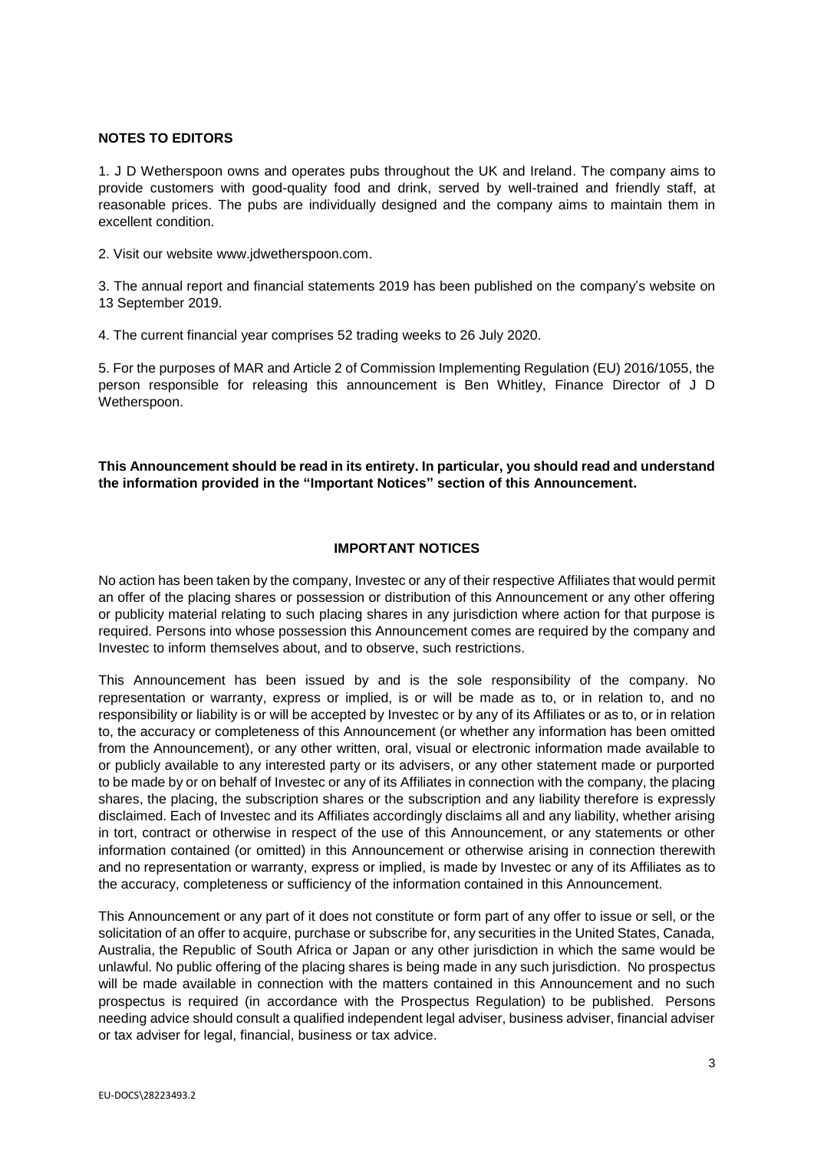## **NOTES TO EDITORS**

1. J D Wetherspoon owns and operates pubs throughout the UK and Ireland. The company aims to provide customers with good-quality food and drink, served by well-trained and friendly staff, at reasonable prices. The pubs are individually designed and the company aims to maintain them in excellent condition.

2. Visit our website www.jdwetherspoon.com.

3. The annual report and financial statements 2019 has been published on the company's website on 13 September 2019.

4. The current financial year comprises 52 trading weeks to 26 July 2020.

5. For the purposes of MAR and Article 2 of Commission Implementing Regulation (EU) 2016/1055, the person responsible for releasing this announcement is Ben Whitley, Finance Director of J D Wetherspoon.

# **This Announcement should be read in its entirety. In particular, you should read and understand the information provided in the "Important Notices" section of this Announcement.**

### **IMPORTANT NOTICES**

No action has been taken by the company, Investec or any of their respective Affiliates that would permit an offer of the placing shares or possession or distribution of this Announcement or any other offering or publicity material relating to such placing shares in any jurisdiction where action for that purpose is required. Persons into whose possession this Announcement comes are required by the company and Investec to inform themselves about, and to observe, such restrictions.

This Announcement has been issued by and is the sole responsibility of the company. No representation or warranty, express or implied, is or will be made as to, or in relation to, and no responsibility or liability is or will be accepted by Investec or by any of its Affiliates or as to, or in relation to, the accuracy or completeness of this Announcement (or whether any information has been omitted from the Announcement), or any other written, oral, visual or electronic information made available to or publicly available to any interested party or its advisers, or any other statement made or purported to be made by or on behalf of Investec or any of its Affiliates in connection with the company, the placing shares, the placing, the subscription shares or the subscription and any liability therefore is expressly disclaimed. Each of Investec and its Affiliates accordingly disclaims all and any liability, whether arising in tort, contract or otherwise in respect of the use of this Announcement, or any statements or other information contained (or omitted) in this Announcement or otherwise arising in connection therewith and no representation or warranty, express or implied, is made by Investec or any of its Affiliates as to the accuracy, completeness or sufficiency of the information contained in this Announcement.

This Announcement or any part of it does not constitute or form part of any offer to issue or sell, or the solicitation of an offer to acquire, purchase or subscribe for, any securities in the United States, Canada, Australia, the Republic of South Africa or Japan or any other jurisdiction in which the same would be unlawful. No public offering of the placing shares is being made in any such jurisdiction. No prospectus will be made available in connection with the matters contained in this Announcement and no such prospectus is required (in accordance with the Prospectus Regulation) to be published. Persons needing advice should consult a qualified independent legal adviser, business adviser, financial adviser or tax adviser for legal, financial, business or tax advice.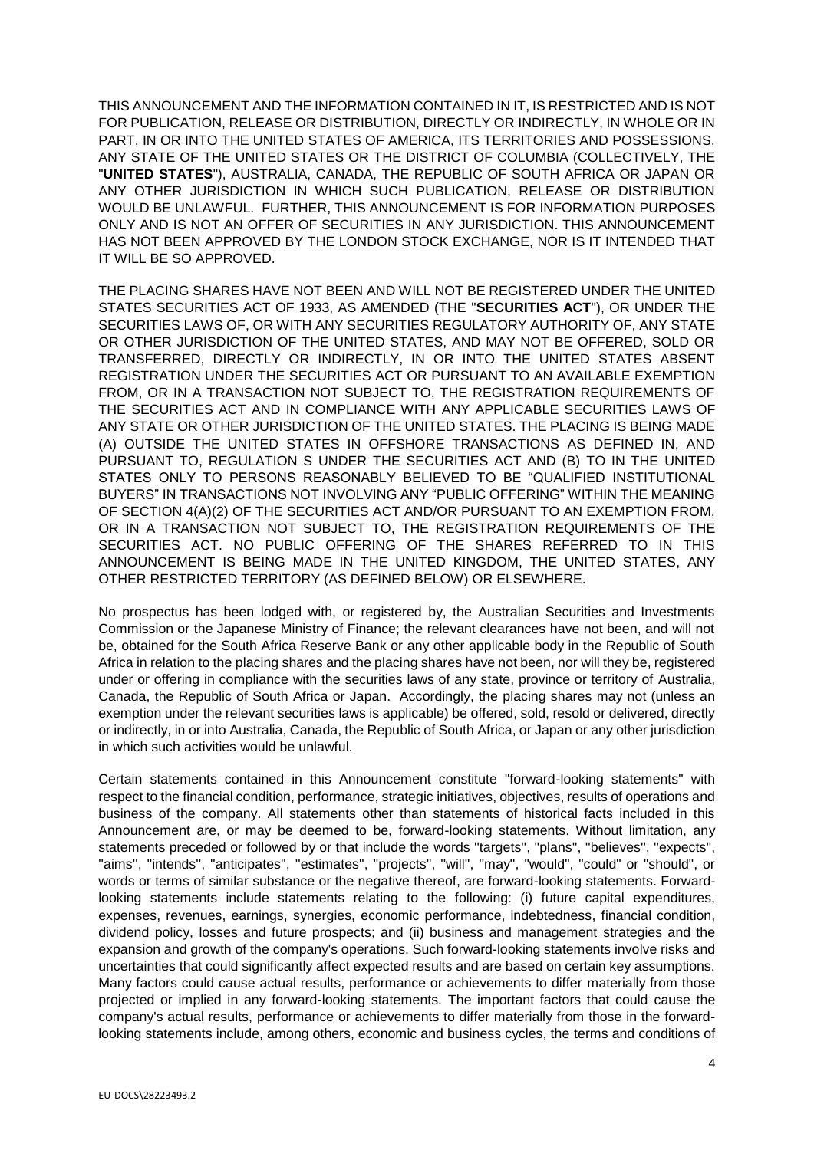THIS ANNOUNCEMENT AND THE INFORMATION CONTAINED IN IT, IS RESTRICTED AND IS NOT FOR PUBLICATION, RELEASE OR DISTRIBUTION, DIRECTLY OR INDIRECTLY, IN WHOLE OR IN PART, IN OR INTO THE UNITED STATES OF AMERICA, ITS TERRITORIES AND POSSESSIONS, ANY STATE OF THE UNITED STATES OR THE DISTRICT OF COLUMBIA (COLLECTIVELY, THE "**UNITED STATES**"), AUSTRALIA, CANADA, THE REPUBLIC OF SOUTH AFRICA OR JAPAN OR ANY OTHER JURISDICTION IN WHICH SUCH PUBLICATION, RELEASE OR DISTRIBUTION WOULD BE UNLAWFUL. FURTHER, THIS ANNOUNCEMENT IS FOR INFORMATION PURPOSES ONLY AND IS NOT AN OFFER OF SECURITIES IN ANY JURISDICTION. THIS ANNOUNCEMENT HAS NOT BEEN APPROVED BY THE LONDON STOCK EXCHANGE, NOR IS IT INTENDED THAT IT WILL BE SO APPROVED.

THE PLACING SHARES HAVE NOT BEEN AND WILL NOT BE REGISTERED UNDER THE UNITED STATES SECURITIES ACT OF 1933, AS AMENDED (THE "**SECURITIES ACT**"), OR UNDER THE SECURITIES LAWS OF, OR WITH ANY SECURITIES REGULATORY AUTHORITY OF, ANY STATE OR OTHER JURISDICTION OF THE UNITED STATES, AND MAY NOT BE OFFERED, SOLD OR TRANSFERRED, DIRECTLY OR INDIRECTLY, IN OR INTO THE UNITED STATES ABSENT REGISTRATION UNDER THE SECURITIES ACT OR PURSUANT TO AN AVAILABLE EXEMPTION FROM, OR IN A TRANSACTION NOT SUBJECT TO, THE REGISTRATION REQUIREMENTS OF THE SECURITIES ACT AND IN COMPLIANCE WITH ANY APPLICABLE SECURITIES LAWS OF ANY STATE OR OTHER JURISDICTION OF THE UNITED STATES. THE PLACING IS BEING MADE (A) OUTSIDE THE UNITED STATES IN OFFSHORE TRANSACTIONS AS DEFINED IN, AND PURSUANT TO, REGULATION S UNDER THE SECURITIES ACT AND (B) TO IN THE UNITED STATES ONLY TO PERSONS REASONABLY BELIEVED TO BE "QUALIFIED INSTITUTIONAL BUYERS" IN TRANSACTIONS NOT INVOLVING ANY "PUBLIC OFFERING" WITHIN THE MEANING OF SECTION 4(A)(2) OF THE SECURITIES ACT AND/OR PURSUANT TO AN EXEMPTION FROM, OR IN A TRANSACTION NOT SUBJECT TO, THE REGISTRATION REQUIREMENTS OF THE SECURITIES ACT. NO PUBLIC OFFERING OF THE SHARES REFERRED TO IN THIS ANNOUNCEMENT IS BEING MADE IN THE UNITED KINGDOM, THE UNITED STATES, ANY OTHER RESTRICTED TERRITORY (AS DEFINED BELOW) OR ELSEWHERE.

No prospectus has been lodged with, or registered by, the Australian Securities and Investments Commission or the Japanese Ministry of Finance; the relevant clearances have not been, and will not be, obtained for the South Africa Reserve Bank or any other applicable body in the Republic of South Africa in relation to the placing shares and the placing shares have not been, nor will they be, registered under or offering in compliance with the securities laws of any state, province or territory of Australia, Canada, the Republic of South Africa or Japan. Accordingly, the placing shares may not (unless an exemption under the relevant securities laws is applicable) be offered, sold, resold or delivered, directly or indirectly, in or into Australia, Canada, the Republic of South Africa, or Japan or any other jurisdiction in which such activities would be unlawful.

Certain statements contained in this Announcement constitute "forward-looking statements" with respect to the financial condition, performance, strategic initiatives, objectives, results of operations and business of the company. All statements other than statements of historical facts included in this Announcement are, or may be deemed to be, forward-looking statements. Without limitation, any statements preceded or followed by or that include the words ''targets'', ''plans'', ''believes'', ''expects'', "aims", "intends", "anticipates", "estimates", "projects", "will", "may", "would", "could" or "should", or words or terms of similar substance or the negative thereof, are forward-looking statements. Forwardlooking statements include statements relating to the following: (i) future capital expenditures, expenses, revenues, earnings, synergies, economic performance, indebtedness, financial condition, dividend policy, losses and future prospects; and (ii) business and management strategies and the expansion and growth of the company's operations. Such forward-looking statements involve risks and uncertainties that could significantly affect expected results and are based on certain key assumptions. Many factors could cause actual results, performance or achievements to differ materially from those projected or implied in any forward-looking statements. The important factors that could cause the company's actual results, performance or achievements to differ materially from those in the forwardlooking statements include, among others, economic and business cycles, the terms and conditions of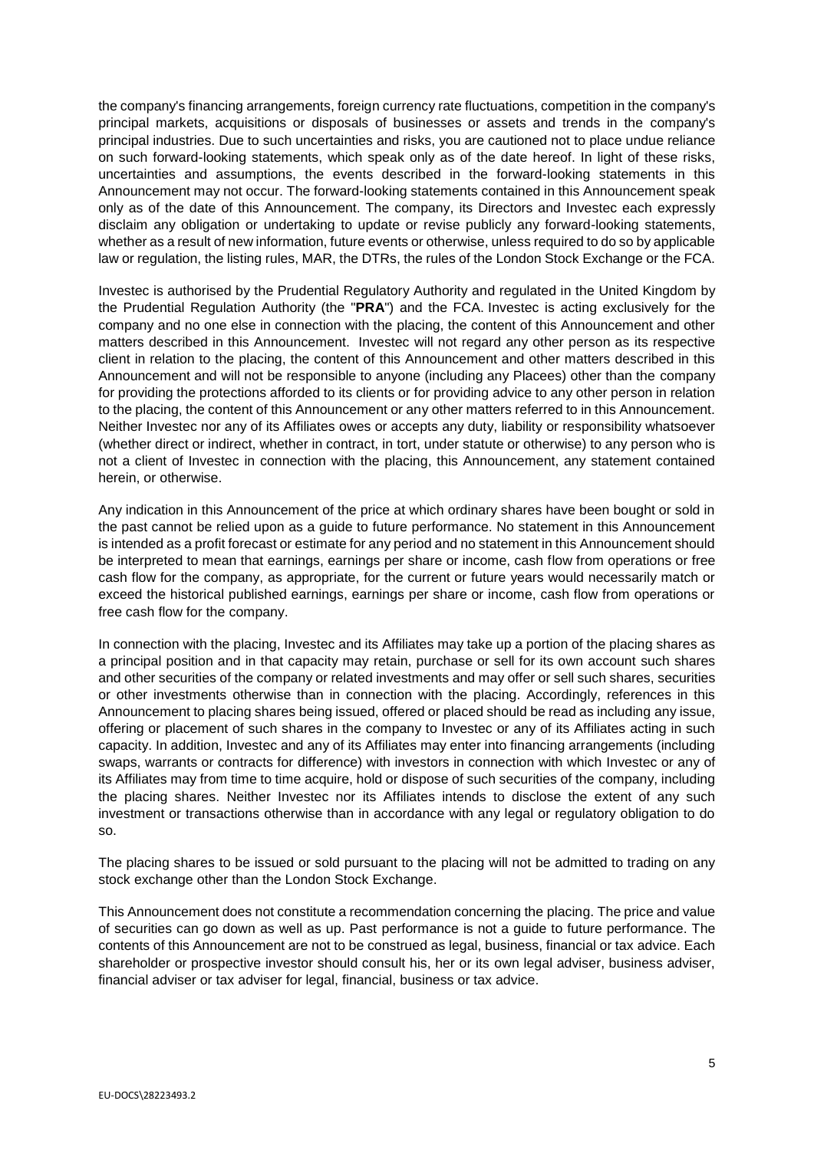the company's financing arrangements, foreign currency rate fluctuations, competition in the company's principal markets, acquisitions or disposals of businesses or assets and trends in the company's principal industries. Due to such uncertainties and risks, you are cautioned not to place undue reliance on such forward-looking statements, which speak only as of the date hereof. In light of these risks, uncertainties and assumptions, the events described in the forward-looking statements in this Announcement may not occur. The forward-looking statements contained in this Announcement speak only as of the date of this Announcement. The company, its Directors and Investec each expressly disclaim any obligation or undertaking to update or revise publicly any forward-looking statements, whether as a result of new information, future events or otherwise, unless required to do so by applicable law or regulation, the listing rules, MAR, the DTRs, the rules of the London Stock Exchange or the FCA.

Investec is authorised by the Prudential Regulatory Authority and regulated in the United Kingdom by the Prudential Regulation Authority (the "**PRA**") and the FCA. Investec is acting exclusively for the company and no one else in connection with the placing, the content of this Announcement and other matters described in this Announcement. Investec will not regard any other person as its respective client in relation to the placing, the content of this Announcement and other matters described in this Announcement and will not be responsible to anyone (including any Placees) other than the company for providing the protections afforded to its clients or for providing advice to any other person in relation to the placing, the content of this Announcement or any other matters referred to in this Announcement. Neither Investec nor any of its Affiliates owes or accepts any duty, liability or responsibility whatsoever (whether direct or indirect, whether in contract, in tort, under statute or otherwise) to any person who is not a client of Investec in connection with the placing, this Announcement, any statement contained herein, or otherwise.

Any indication in this Announcement of the price at which ordinary shares have been bought or sold in the past cannot be relied upon as a guide to future performance. No statement in this Announcement is intended as a profit forecast or estimate for any period and no statement in this Announcement should be interpreted to mean that earnings, earnings per share or income, cash flow from operations or free cash flow for the company, as appropriate, for the current or future years would necessarily match or exceed the historical published earnings, earnings per share or income, cash flow from operations or free cash flow for the company.

In connection with the placing, Investec and its Affiliates may take up a portion of the placing shares as a principal position and in that capacity may retain, purchase or sell for its own account such shares and other securities of the company or related investments and may offer or sell such shares, securities or other investments otherwise than in connection with the placing. Accordingly, references in this Announcement to placing shares being issued, offered or placed should be read as including any issue, offering or placement of such shares in the company to Investec or any of its Affiliates acting in such capacity. In addition, Investec and any of its Affiliates may enter into financing arrangements (including swaps, warrants or contracts for difference) with investors in connection with which Investec or any of its Affiliates may from time to time acquire, hold or dispose of such securities of the company, including the placing shares. Neither Investec nor its Affiliates intends to disclose the extent of any such investment or transactions otherwise than in accordance with any legal or regulatory obligation to do so.

The placing shares to be issued or sold pursuant to the placing will not be admitted to trading on any stock exchange other than the London Stock Exchange.

This Announcement does not constitute a recommendation concerning the placing. The price and value of securities can go down as well as up. Past performance is not a guide to future performance. The contents of this Announcement are not to be construed as legal, business, financial or tax advice. Each shareholder or prospective investor should consult his, her or its own legal adviser, business adviser, financial adviser or tax adviser for legal, financial, business or tax advice.